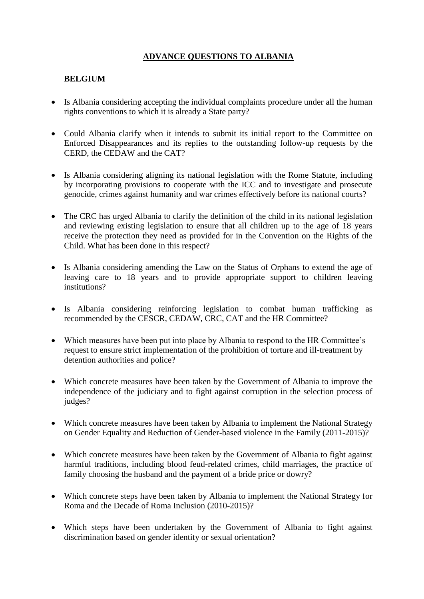## **ADVANCE QUESTIONS TO ALBANIA**

### **BELGIUM**

- Is Albania considering accepting the individual complaints procedure under all the human rights conventions to which it is already a State party?
- Could Albania clarify when it intends to submit its initial report to the Committee on Enforced Disappearances and its replies to the outstanding follow-up requests by the CERD, the CEDAW and the CAT?
- Is Albania considering aligning its national legislation with the Rome Statute, including by incorporating provisions to cooperate with the ICC and to investigate and prosecute genocide, crimes against humanity and war crimes effectively before its national courts?
- The CRC has urged Albania to clarify the definition of the child in its national legislation and reviewing existing legislation to ensure that all children up to the age of 18 years receive the protection they need as provided for in the Convention on the Rights of the Child. What has been done in this respect?
- Is Albania considering amending the Law on the Status of Orphans to extend the age of leaving care to 18 years and to provide appropriate support to children leaving institutions?
- Is Albania considering reinforcing legislation to combat human trafficking as recommended by the CESCR, CEDAW, CRC, CAT and the HR Committee?
- Which measures have been put into place by Albania to respond to the HR Committee's request to ensure strict implementation of the prohibition of torture and ill-treatment by detention authorities and police?
- Which concrete measures have been taken by the Government of Albania to improve the independence of the judiciary and to fight against corruption in the selection process of judges?
- Which concrete measures have been taken by Albania to implement the National Strategy on Gender Equality and Reduction of Gender-based violence in the Family (2011-2015)?
- Which concrete measures have been taken by the Government of Albania to fight against harmful traditions, including blood feud-related crimes, child marriages, the practice of family choosing the husband and the payment of a bride price or dowry?
- Which concrete steps have been taken by Albania to implement the National Strategy for Roma and the Decade of Roma Inclusion (2010-2015)?
- Which steps have been undertaken by the Government of Albania to fight against discrimination based on gender identity or sexual orientation?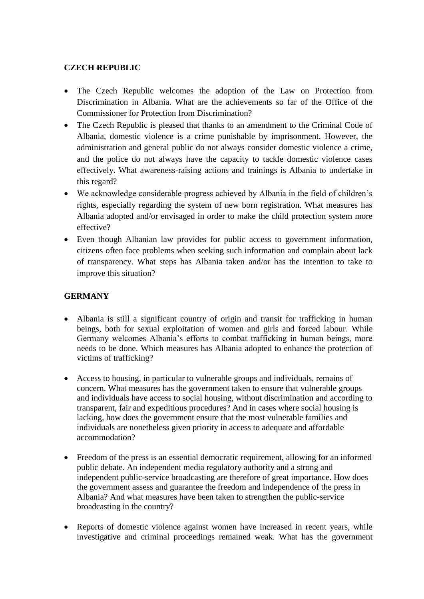### **CZECH REPUBLIC**

- The Czech Republic welcomes the adoption of the Law on Protection from Discrimination in Albania. What are the achievements so far of the Office of the Commissioner for Protection from Discrimination?
- The Czech Republic is pleased that thanks to an amendment to the Criminal Code of Albania, domestic violence is a crime punishable by imprisonment. However, the administration and general public do not always consider domestic violence a crime, and the police do not always have the capacity to tackle domestic violence cases effectively. What awareness-raising actions and trainings is Albania to undertake in this regard?
- We acknowledge considerable progress achieved by Albania in the field of children's rights, especially regarding the system of new born registration. What measures has Albania adopted and/or envisaged in order to make the child protection system more effective?
- Even though Albanian law provides for public access to government information, citizens often face problems when seeking such information and complain about lack of transparency. What steps has Albania taken and/or has the intention to take to improve this situation?

# **GERMANY**

- Albania is still a significant country of origin and transit for trafficking in human beings, both for sexual exploitation of women and girls and forced labour. While Germany welcomes Albania's efforts to combat trafficking in human beings, more needs to be done. Which measures has Albania adopted to enhance the protection of victims of trafficking?
- Access to housing, in particular to vulnerable groups and individuals, remains of concern. What measures has the government taken to ensure that vulnerable groups and individuals have access to social housing, without discrimination and according to transparent, fair and expeditious procedures? And in cases where social housing is lacking, how does the government ensure that the most vulnerable families and individuals are nonetheless given priority in access to adequate and affordable accommodation?
- Freedom of the press is an essential democratic requirement, allowing for an informed public debate. An independent media regulatory authority and a strong and independent public-service broadcasting are therefore of great importance. How does the government assess and guarantee the freedom and independence of the press in Albania? And what measures have been taken to strengthen the public-service broadcasting in the country?
- Reports of domestic violence against women have increased in recent years, while investigative and criminal proceedings remained weak. What has the government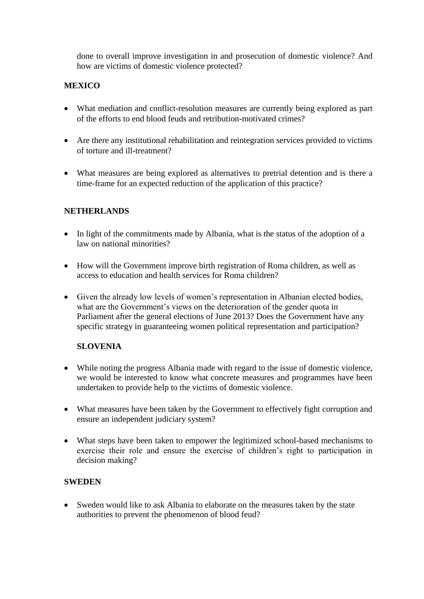done to overall improve investigation in and prosecution of domestic violence? And how are victims of domestic violence protected?

### **MEXICO**

- What mediation and conflict-resolution measures are currently being explored as part of the efforts to end blood feuds and retribution-motivated crimes?
- Are there any institutional rehabilitation and reintegration services provided to victims of torture and ill-treatment?
- What measures are being explored as alternatives to pretrial detention and is there a time-frame for an expected reduction of the application of this practice?

#### **NETHERLANDS**

- In light of the commitments made by Albania, what is the status of the adoption of a law on national minorities?
- How will the Government improve birth registration of Roma children, as well as access to education and health services for Roma children?
- Given the already low levels of women's representation in Albanian elected bodies, what are the Government's views on the deterioration of the gender quota in Parliament after the general elections of June 2013? Does the Government have any specific strategy in guaranteeing women political representation and participation?

#### **SLOVENIA**

- While noting the progress Albania made with regard to the issue of domestic violence, we would be interested to know what concrete measures and programmes have been undertaken to provide help to the victims of domestic violence.
- What measures have been taken by the Government to effectively fight corruption and ensure an independent judiciary system?
- What steps have been taken to empower the legitimized school-based mechanisms to exercise their role and ensure the exercise of children's right to participation in decision making?

#### **SWEDEN**

 Sweden would like to ask Albania to elaborate on the measures taken by the state authorities to prevent the phenomenon of blood feud?